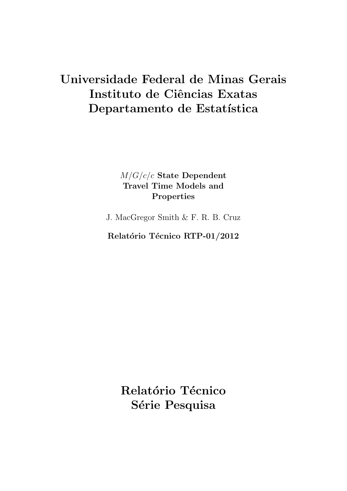# Universidade Federal de Minas Gerais Instituto de Ciências Exatas Departamento de Estatística

# M/G/c/c State Dependent Travel Time Models and Properties

J. MacGregor Smith & F. R. B. Cruz

Relatório Técnico RTP-01/2012

Relatório Técnico Série Pesquisa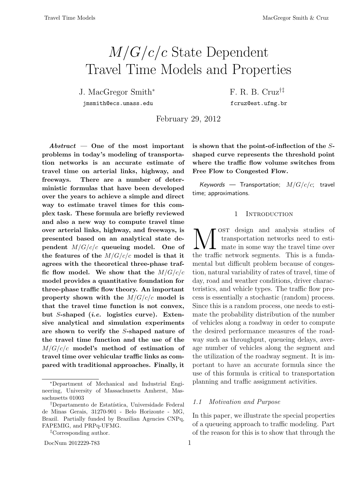# M/G/c/c State Dependent Travel Time Models and Properties

J. MacGregor Smith<sup>∗</sup> F. R. B. Cruz†‡

jmsmith@ecs.umass.edu fcruz@est.ufmg.br

February 29, 2012

 $Abstract - One of the most important$ problems in today's modeling of transportation networks is an accurate estimate of travel time on arterial links, highway, and freeways. There are a number of deterministic formulas that have been developed over the years to achieve a simple and direct way to estimate travel times for this complex task. These formula are briefly reviewed and also a new way to compute travel time over arterial links, highway, and freeways, is presented based on an analytical state dependent  $M/G/c/c$  queueing model. One of the features of the  $M/G/c/c$  model is that it agrees with the theoretical three-phase traffic flow model. We show that the  $M/G/c/c$ model provides a quantitative foundation for three-phase traffic flow theory. An important property shown with the  $M/G/c/c$  model is that the travel time function is not convex, but S-shaped (i.e. logistics curve). Extensive analytical and simulation experiments are shown to verify the S-shaped nature of the travel time function and the use of the  $M/G/c/c$  model's method of estimation of travel time over vehicular traffic links as compared with traditional approaches. Finally, it

is shown that the point-of-inflection of the Sshaped curve represents the threshold point where the traffic flow volume switches from Free Flow to Congested Flow.

Keywords — Transportation;  $M/G/c/c$ ; travel time; approximations.

# 1 INTRODUCTION

**N** OST design and analysis studies of transportation networks need to estimate in some way the travel time over the traffic network segments. This is a fundaost design and analysis studies of transportation networks need to esti-**1** mate in some way the travel time over mental but difficult problem because of congestion, natural variability of rates of travel, time of day, road and weather conditions, driver characteristics, and vehicle types. The traffic flow process is essentially a stochastic (random) process. Since this is a random process, one needs to estimate the probability distribution of the number of vehicles along a roadway in order to compute the desired performance measures of the roadway such as throughput, queueing delays, average number of vehicles along the segment and the utilization of the roadway segment. It is important to have an accurate formula since the use of this formula is critical to transportation planning and traffic assignment activities.

# 1.1 Motivation and Purpose

In this paper, we illustrate the special properties of a queueing approach to traffic modeling. Part of the reason for this is to show that through the

<sup>∗</sup>Department of Mechanical and Industrial Engineering, University of Massachusetts Amherst, Massachusetts 01003

<sup>&</sup>lt;sup>†</sup>Departamento de Estatística, Universidade Federal de Minas Gerais, 31270-901 - Belo Horizonte - MG, Brazil. Partially funded by Brazilian Agencies CNPq, FAPEMIG, and PRPq-UFMG.

<sup>‡</sup>Corresponding author.

DocNum 2012229-783 1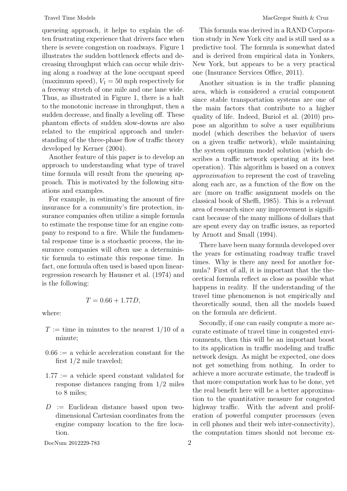queueing approach, it helps to explain the often frustrating experience that drivers face when there is severe congestion on roadways. Figure 1 illustrates the sudden bottleneck effects and decreasing throughput which can occur while driving along a roadway at the lone occupant speed (maximum speed),  $V_1 = 50$  mph respectively for a freeway stretch of one mile and one lane wide. Thus, as illustrated in Figure 1, there is a halt to the monotonic increase in throughput, then a sudden decrease, and finally a leveling off. These phantom effects of sudden slow-downs are also related to the empirical approach and understanding of the three-phase flow of traffic theory developed by Kerner (2004).

Another feature of this paper is to develop an approach to understanding what type of travel time formula will result from the queueing approach. This is motivated by the following situations and examples.

For example, in estimating the amount of fire insurance for a community's fire protection, insurance companies often utilize a simple formula to estimate the response time for an engine company to respond to a fire. While the fundamental response time is a stochastic process, the insurance companies will often use a deterministic formula to estimate this response time. In fact, one formula often used is based upon linearregression research by Hausner et al. (1974) and is the following:

$$
T = 0.66 + 1.77D,
$$

where:

- $T :=$  time in minutes to the nearest 1/10 of a minute;
- $0.66 := a$  vehicle acceleration constant for the first 1/2 mile traveled;
- $1.77 := a$  vehicle speed constant validated for response distances ranging from 1/2 miles to 8 miles;
- $D :=$  Euclidean distance based upon twodimensional Cartesian coordinates from the engine company location to the fire location.

DocNum 2012229-783 2

This formula was derived in a RAND Corporation study in New York city and is still used as a predictive tool. The formula is somewhat dated and is derived from empirical data in Yonkers, New York, but appears to be a very practical one (Insurance Services Office, 2011).

Another situation is in the traffic planning area, which is considered a crucial component since stable transportation systems are one of the main factors that contribute to a higher quality of life. Indeed, Buriol et al. (2010) propose an algorithm to solve a user equilibrium model (which describes the behavior of users on a given traffic network), while maintaining the system optimum model solution (which describes a traffic network operating at its best operation). This algorithm is based on a convex approximation to represent the cost of traveling along each arc, as a function of the flow on the arc (more on traffic assignment models on the classical book of Sheffi, 1985). This is a relevant area of research since any improvement is significant because of the many millions of dollars that are spent every day on traffic issues, as reported by Arnott and Small (1994).

There have been many formula developed over the years for estimating roadway traffic travel times. Why is there any need for another formula? First of all, it is important that the theoretical formula reflect as close as possible what happens in reality. If the understanding of the travel time phenomenon is not empirically and theoretically sound, then all the models based on the formula are deficient.

Secondly, if one can easily compute a more accurate estimate of travel time in congested environments, then this will be an important boost to its application in traffic modeling and traffic network design. As might be expected, one does not get something from nothing. In order to achieve a more accurate estimate, the tradeoff is that more computation work has to be done, yet the real benefit here will be a better approximation to the quantitative measure for congested highway traffic. With the advent and proliferation of powerful computer processors (even in cell phones and their web inter-connectivity), the computation times should not become ex-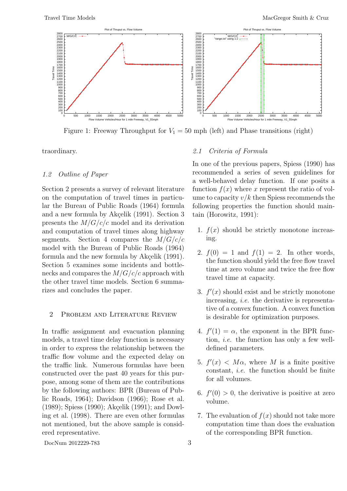

Figure 1: Freeway Throughput for  $V_1 = 50$  mph (left) and Phase transitions (right)

traordinary.

# 1.2 Outline of Paper

Section 2 presents a survey of relevant literature on the computation of travel times in particular the Bureau of Public Roads (1964) formula and a new formula by Akçelik  $(1991)$ . Section 3 presents the  $M/G/c/c$  model and its derivation and computation of travel times along highway segments. Section 4 compares the  $M/G/c/c$ model with the Bureau of Public Roads (1964) formula and the new formula by Akçelik (1991). Section 5 examines some incidents and bottlenecks and compares the  $M/G/c/c$  approach with the other travel time models. Section 6 summarizes and concludes the paper.

# 2 Problem and Literature Review

In traffic assignment and evacuation planning models, a travel time delay function is necessary in order to express the relationship between the traffic flow volume and the expected delay on the traffic link. Numerous formulas have been constructed over the past 40 years for this purpose, among some of them are the contributions by the following authors: BPR (Bureau of Public Roads, 1964); Davidson (1966); Rose et al.  $(1989)$ ; Spiess  $(1990)$ ; Akçelik  $(1991)$ ; and Dowling et al. (1998). There are even other formulas not mentioned, but the above sample is considered representative.

# 2.1 Criteria of Formula

In one of the previous papers, Spiess (1990) has recommended a series of seven guidelines for a well-behaved delay function. If one posits a function  $f(x)$  where x represent the ratio of volume to capacity  $v/k$  then Spiess recommends the following properties the function should maintain (Horowitz, 1991):

- 1.  $f(x)$  should be strictly monotone increasing.
- 2.  $f(0) = 1$  and  $f(1) = 2$ . In other words, the function should yield the free flow travel time at zero volume and twice the free flow travel time at capacity.
- 3.  $f'(x)$  should exist and be strictly monotone increasing, i.e. the derivative is representative of a convex function. A convex function is desirable for optimization purposes.
- 4.  $f'(1) = \alpha$ , the exponent in the BPR function, i.e. the function has only a few welldefined parameters.
- 5.  $f'(x) < M\alpha$ , where M is a finite positive constant, i.e. the function should be finite for all volumes.
- 6.  $f'(0) > 0$ , the derivative is positive at zero volume.
- 7. The evaluation of  $f(x)$  should not take more computation time than does the evaluation of the corresponding BPR function.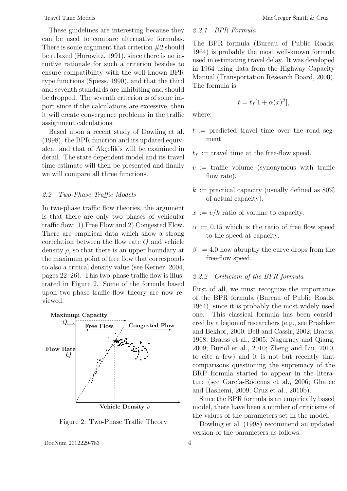These guidelines are interesting because they can be used to compare alternative formulas. There is some argument that criterion  $#2$  should be relaxed (Horowitz, 1991), since there is no intuitive rationale for such a criterion besides to ensure compatibility with the well known BPR type functions (Spiess, 1990), and that the third and seventh standards are inhibiting and should be dropped. The seventh criterion is of some import since if the calculations are excessive, then it will create convergence problems in the traffic assignment calculations.

Based upon a recent study of Dowling et al. (1998), the BPR function and its updated equivalent and that of Akçelik's will be examined in detail. The state dependent model and its travel time estimate will then be presented and finally we will compare all three functions.

# 2.2 Two-Phase Traffic Models

In two-phase traffic flow theories, the argument is that there are only two phases of vehicular traffic flow: 1) Free Flow and 2) Congested Flow. There are empirical data which show a strong correlation between the flow rate Q and vehicle density  $\rho$ , so that there is an upper boundary at the maximum point of free flow that corresponds to also a critical density value (see Kerner, 2004, pages 22–26). This two-phase traffic flow is illustrated in Figure 2. Some of the formula based upon two-phase traffic flow theory are now reviewed.



Figure 2: Two-Phase Traffic Theory

DocNum 2012229-783 4

# 2.2.1 BPR Formula

The BPR formula (Bureau of Public Roads, 1964) is probably the most well-known formula used in estimating travel delay. It was developed in 1964 using data from the Highway Capacity Manual (Transportation Research Board, 2000). The formula is:

$$
t = t_f [1 + \alpha(x)^{\beta}],
$$

where:

- $t :=$  predicted travel time over the road segment.
- $t_f$ : = travel time at the free-flow speed.
- $v := \text{traffic volume (symonymous with traffic)}$ flow rate).
- $k :=$  practical capacity (usually defined as 80%) of actual capacity).
- $x := v/k$  ratio of volume to capacity.
- $\alpha := 0.15$  which is the ratio of free flow speed to the speed at capacity.
- $\beta := 4.0$  how abruptly the curve drops from the free-flow speed.

### 2.2.2 Criticism of the BPR formula

First of all, we must recognize the importance of the BPR formula (Bureau of Public Roads, 1964), since it is probably the most widely used one. This classical formula has been considered by a legion of researchers (e.g., see Prashker and Bekhor, 2000; Bell and Cassir, 2002; Braess, 1968; Braess et al., 2005; Nagurney and Qiang, 2009; Buriol et al., 2010; Zheng and Liu, 2010, to cite a few) and it is not but recently that comparisons questioning the supremacy of the BRP formula started to appear in the literature (see García-Ródenas et al., 2006; Ghatee and Hashemi, 2009; Cruz et al., 2010b).

Since the BPR formula is an empirically based model, there have been a number of criticisms of the values of the parameters set in the model.

Dowling et al. (1998) recommend an updated version of the parameters as follows: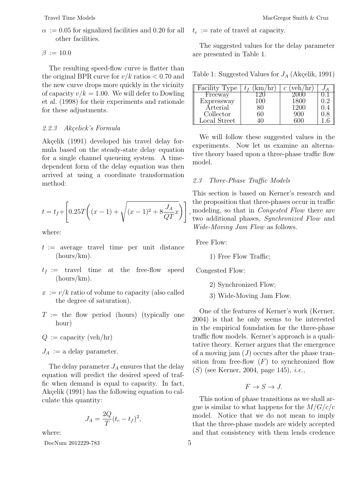$\alpha := 0.05$  for signalized facilities and 0.20 for all other facilities.

 $\beta := 10.0$ 

The resulting speed-flow curve is flatter than the original BPR curve for  $v/k$  ratios  $< 0.70$  and the new curve drops more quickly in the vicinity of capacity  $v/k = 1.00$ . We will defer to Dowling et al. (1998) for their experiments and rationale for these adjustments.

# 2.2.3 Akçelick's Formula

Akçelik (1991) developed his travel delay formula based on the steady-state delay equation for a single channel queueing system. A timedependent form of the delay equation was then arrived at using a coordinate transformation method:

$$
t = t_f + \left[ 0.25T\left( (x - 1) + \sqrt{(x - 1)^2 + 8\frac{J_A}{QT}x} \right) \right]
$$

where:

- $t := \text{average travel time per unit distance}$ (hours/km).
- $t_f :=$  travel time at the free-flow speed (hours/km).
- $x := v/k$  ratio of volume to capacity (also called the degree of saturation).
- $T :=$  the flow period (hours) (typically one hour)

$$
Q := \text{capacity} (\text{veh/hr})
$$

 $J_A := \text{a delay parameter.}$ 

The delay parameter  $J_A$  ensures that the delay equation will predict the desired speed of traffic when demand is equal to capacity. In fact, Akçelik (1991) has the following equation to calculate this quantity:

$$
J_A = \frac{2Q}{T}(t_c - t_f)^2,
$$

where:

DocNum 2012229-783 5

 $t_c :=$  rate of travel at capacity.

The suggested values for the delay parameter are presented in Table 1.

Table 1: Suggested Values for  $J_A$  (Akçelik, 1991)

| Facility Type |     | veh/hr<br>$\,c\,$ |  |
|---------------|-----|-------------------|--|
| Freeway       |     |                   |  |
| Expressway    | 100 | 1800              |  |
| Arterial      |     | 1200              |  |
| Collector     |     | 900               |  |
| Local Street  |     |                   |  |

We will follow these suggested values in the experiments. Now let us examine an alternative theory based upon a three-phase traffic flow model.

# 2.3 Three-Phase Traffic Models

, modeling, so that in Congested Flow there are This section is based on Kerner's research and the proposition that three-phases occur in traffic two additional phases, Synchronized Flow and Wide-Moving Jam Flow as follows.

Free Flow:

1) Free Flow Traffic;

Congested Flow:

- 2) Synchronized Flow;
- 3) Wide-Moving Jam Flow.

One of the features of Kerner's work (Kerner, 2004) is that he only seems to be interested in the empirical foundation for the three-phase traffic flow models. Kerner's approach is a qualitative theory. Kerner argues that the emergence of a moving jam  $(J)$  occurs after the phase transition from free-flow  $(F)$  to synchronized flow (S) (see Kerner, 2004, page 145), i.e.,

# $F \to S \to J$ .

This notion of phase transitions as we shall argue is similar to what happens for the  $M/G/c/c$ model. Notice that we do not mean to imply that the three-phase models are widely accepted and that consistency with them lends credence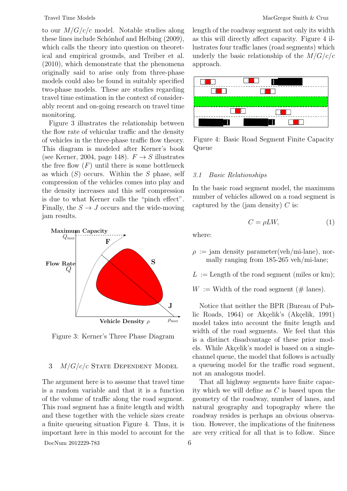to our  $M/G/c/c$  model. Notable studies along these lines include Schónhof and Helbing (2009), which calls the theory into question on theoretical and empirical grounds, and Treiber et al. (2010), which demonstrate that the phenomena originally said to arise only from three-phase models could also be found in suitably specified two-phase models. These are studies regarding travel time estimation in the context of considerably recent and on-going research on travel time monitoring.

Figure 3 illustrates the relationship between the flow rate of vehicular traffic and the density of vehicles in the three-phase traffic flow theory. This diagram is modeled after Kerner's book (see Kerner, 2004, page 148).  $F \rightarrow S$  illustrates the free flow  $(F)$  until there is some bottleneck as which  $(S)$  occurs. Within the S phase, self compression of the vehicles comes into play and the density increases and this self compression is due to what Kerner calls the "pinch effect". Finally, the  $S \rightarrow J$  occurs and the wide-moving jam results.



Figure 3: Kerner's Three Phase Diagram

# 3  $M/G/c/c$  State Dependent Model

The argument here is to assume that travel time is a random variable and that it is a function of the volume of traffic along the road segment. This road segment has a finite length and width and these together with the vehicle sizes create a finite queueing situation Figure 4. Thus, it is important here in this model to account for the

DocNum 2012229-783 6

length of the roadway segment not only its width as this will directly affect capacity. Figure 4 illustrates four traffic lanes (road segments) which underly the basic relationship of the  $M/G/c/c$ approach.



Figure 4: Basic Road Segment Finite Capacity Queue

# 3.1 Basic Relationships

In the basic road segment model, the maximum number of vehicles allowed on a road segment is captured by the (jam density)  $C$  is:

$$
C = \rho L W,\tag{1}
$$

where:

- $\rho := \text{jam density parameter}(\text{veh/min-lane})$ , normally ranging from 185-265 veh/mi-lane;
- $L :=$  Length of the road segment (miles or km);
- $W :=$  Width of the road segment (# lanes).

Notice that neither the BPR (Bureau of Public Roads, 1964) or Akçelik's (Akçelik, 1991) model takes into account the finite length and width of the road segments. We feel that this is a distinct disadvantage of these prior models. While Akçelik's model is based on a singlechannel queue, the model that follows is actually a queueing model for the traffic road segment, not an analogous model.

That all highway segments have finite capacity which we will define as C is based upon the geometry of the roadway, number of lanes, and natural geography and topography where the roadway resides is perhaps an obvious observation. However, the implications of the finiteness are very critical for all that is to follow. Since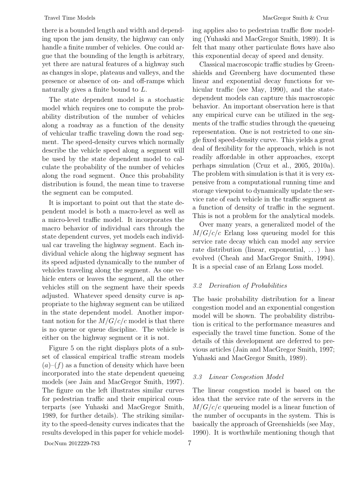there is a bounded length and width and depending upon the jam density, the highway can only handle a finite number of vehicles. One could argue that the bounding of the length is arbitrary, yet there are natural features of a highway such as changes in slope, plateaus and valleys, and the presence or absence of on- and off-ramps which naturally gives a finite bound to L.

The state dependent model is a stochastic model which requires one to compute the probability distribution of the number of vehicles along a roadway as a function of the density of vehicular traffic traveling down the road segment. The speed-density curves which normally describe the vehicle speed along a segment will be used by the state dependent model to calculate the probability of the number of vehicles along the road segment. Once this probability distribution is found, the mean time to traverse the segment can be computed.

It is important to point out that the state dependent model is both a macro-level as well as a micro-level traffic model. It incorporates the macro behavior of individual cars through the state dependent curves, yet models each individual car traveling the highway segment. Each individual vehicle along the highway segment has its speed adjusted dynamically to the number of vehicles traveling along the segment. As one vehicle enters or leaves the segment, all the other vehicles still on the segment have their speeds adjusted. Whatever speed density curve is appropriate to the highway segment can be utilized in the state dependent model. Another important notion for the  $M/G/c/c$  model is that there is no queue or queue discipline. The vehicle is either on the highway segment or it is not.

Figure 5 on the right displays plots of a subset of classical empirical traffic stream models  $(a)$ – $(f)$  as a function of density which have been incorporated into the state dependent queueing models (see Jain and MacGregor Smith, 1997). The figure on the left illustrates similar curves for pedestrian traffic and their empirical counterparts (see Yuhaski and MacGregor Smith, 1989, for further details). The striking similarity to the speed-density curves indicates that the results developed in this paper for vehicle model-

DocNum 2012229-783 7

ing applies also to pedestrian traffic flow modeling (Yuhaski and MacGregor Smith, 1989). It is felt that many other particulate flows have also this exponential decay of speed and density.

Classical macroscopic traffic studies by Greenshields and Greenberg have documented these linear and exponential decay functions for vehicular traffic (see May, 1990), and the statedependent models can capture this macroscopic behavior. An important observation here is that any empirical curve can be utilized in the segments of the traffic studies through the queueing representation. One is not restricted to one single fixed speed-density curve. This yields a great deal of flexibility for the approach, which is not readily affordable in other approaches, except perhaps simulation (Cruz et al., 2005, 2010a). The problem with simulation is that it is very expensive from a computational running time and storage viewpoint to dynamically update the service rate of each vehicle in the traffic segment as a function of density of traffic in the segment. This is not a problem for the analytical models.

Over many years, a generalized model of the  $M/G/c/c$  Erlang loss queueing model for this service rate decay which can model any service rate distribution (linear, exponential, . . . ) has evolved (Cheah and MacGregor Smith, 1994). It is a special case of an Erlang Loss model.

# 3.2 Derivation of Probabilities

The basic probability distribution for a linear congestion model and an exponential congestion model will be shown. The probability distribution is critical to the performance measures and especially the travel time function. Some of the details of this development are deferred to previous articles (Jain and MacGregor Smith, 1997; Yuhaski and MacGregor Smith, 1989).

# 3.3 Linear Congestion Model

The linear congestion model is based on the idea that the service rate of the servers in the  $M/G/c/c$  queueing model is a linear function of the number of occupants in the system. This is basically the approach of Greenshields (see May, 1990). It is worthwhile mentioning though that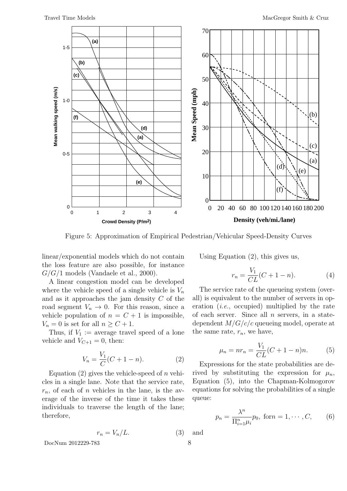

Figure 5: Approximation of Empirical Pedestrian/Vehicular Speed-Density Curves

linear/exponential models which do not contain the loss feature are also possible, for instance  $G/G/1$  models (Vandaele et al., 2000).

A linear congestion model can be developed where the vehicle speed of a single vehicle is  $V_n$ and as it approaches the jam density  $C$  of the road segment  $V_n \to 0$ . For this reason, since a vehicle population of  $n = C + 1$  is impossible,  $V_n = 0$  is set for all  $n \geq C + 1$ .

Thus, if  $V_1 :=$  average travel speed of a lone vehicle and  $V_{C+1} = 0$ , then:

$$
V_n = \frac{V_1}{C}(C + 1 - n). \tag{2}
$$

Equation (2) gives the vehicle-speed of n vehicles in a single lane. Note that the service rate,  $r_n$ , of each of n vehicles in the lane, is the average of the inverse of the time it takes these individuals to traverse the length of the lane; therefore,

$$
r_n = V_n / L. \tag{3}
$$

DocNum 2012229-783 8

Using Equation (2), this gives us,

$$
r_n = \frac{V_1}{CL}(C + 1 - n). \tag{4}
$$

The service rate of the queueing system (overall) is equivalent to the number of servers in operation (i.e., occupied) multiplied by the rate of each server. Since all  $n$  servers, in a statedependent  $M/G/c/c$  queueing model, operate at the same rate,  $r_n$ , we have,

$$
\mu_n = nr_n = \frac{V_1}{CL}(C+1-n)n.
$$
 (5)

Expressions for the state probabilities are derived by substituting the expression for  $\mu_n$ , Equation (5), into the Chapman-Kolmogorov equations for solving the probabilities of a single queue:

$$
p_n = \frac{\lambda^n}{\prod_{i=1}^n \mu_i} p_0, \text{ for } n = 1, \cdots, C, \qquad (6)
$$

and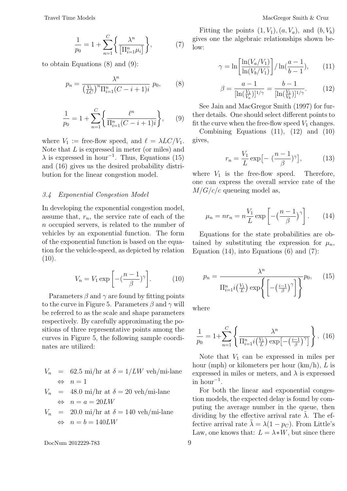$$
\frac{1}{p_0} = 1 + \sum_{n=1}^{C} \left\{ \frac{\lambda^n}{\left[ \prod_{i=1}^n \mu_i \right]} \right\},
$$

 $(7)$ 

to obtain Equations (8) and (9):

$$
p_n = \frac{\lambda^n}{\left(\frac{V_1}{LC}\right)^n \prod_{i=1}^n (C - i + 1)i} \ p_0,\tag{8}
$$

$$
\frac{1}{p_0} = 1 + \sum_{n=1}^{C} \left\{ \frac{\ell^n}{\Pi_{i=1}^n (C - i + 1)i} \right\},\qquad(9)
$$

where  $V_1 := \text{free-flow speed}, \text{ and } \ell = \lambda LC/V_1.$ Note that  $L$  is expressed in meter (or miles) and  $\lambda$  is expressed in hour<sup>-1</sup>. Thus, Equations (15) and (16) gives us the desired probability distribution for the linear congestion model.

# 3.4 Exponential Congestion Model

In developing the exponential congestion model, assume that,  $r_n$ , the service rate of each of the n occupied servers, is related to the number of vehicles by an exponential function. The form of the exponential function is based on the equation for the vehicle-speed, as depicted by relation  $(10).$ 

$$
V_n = V_1 \exp\left[-\left(\frac{n-1}{\beta}\right)^{\gamma}\right].\tag{10}
$$

Parameters  $\beta$  and  $\gamma$  are found by fitting points to the curve in Figure 5. Parameters  $\beta$  and  $\gamma$  will be referred to as the scale and shape parameters respectively. By carefully approximating the positions of three representative points among the curves in Figure 5, the following sample coordinates are utilized:

$$
V_n = 62.5 \text{ mi/hr at } \delta = 1/LW \text{ veh/min-lane}
$$
  

$$
\Leftrightarrow n = 1
$$

$$
V_n = 48.0 \text{ mi/hr at } \delta = 20 \text{ veh/min-lane}
$$
  

$$
\Leftrightarrow n = a = 20LW
$$

$$
V_n = 20.0 \text{ mi/hr at } \delta = 140 \text{ veh/min-lane}
$$
  

$$
\Leftrightarrow n = b = 140LW
$$

DocNum 2012229-783 9

Fitting the points  $(1, V_1), (a, V_a),$  and  $(b, V_b)$ gives one the algebraic relationships shown below:

$$
\gamma = \ln\left[\frac{\ln(V_a/V_1)}{\ln(V_b/V_1)}\right] / \ln(\frac{a-1}{b-1}),\qquad(11)
$$

$$
\beta = \frac{a - 1}{[\ln(\frac{V_1}{V_a})]^{1/\gamma}} = \frac{b - 1}{[\ln(\frac{V_1}{V_b})]^{1/\gamma}}.
$$
 (12)

See Jain and MacGregor Smith (1997) for further details. One should select different points to fit the curve when the free-flow speed  $V_1$  changes.

Combining Equations (11), (12) and (10) gives,

$$
r_n = \frac{V_1}{L} \exp\left[-\left(\frac{n-1}{\beta}\right)^{\gamma}\right],\tag{13}
$$

where  $V_1$  is the free-flow speed. Therefore, one can express the overall service rate of the  $M/G/c/c$  queueing model as,

$$
\mu_n = nr_n = n \frac{V_1}{L} \exp\left[-\left(\frac{n-1}{\beta}\right)^{\gamma}\right].
$$
 (14)

Equations for the state probabilities are obtained by substituting the expression for  $\mu_n$ , Equation  $(14)$ , into Equations  $(6)$  and  $(7)$ :

$$
p_n = \frac{\lambda^n}{\prod_{i=1}^n i\left(\frac{V_1}{L}\right) \exp\left\{\left[-\left(\frac{i-1}{\beta}\right)^\gamma\right]\right\}} p_0, \quad (15)
$$

where

$$
\frac{1}{p_0} = 1 + \sum_{n=1}^{C} \left\{ \frac{\lambda^n}{\prod_{i=1}^n i(\frac{V_1}{L}) \exp[-(\frac{i-1}{\beta})^{\gamma}]} \right\}.
$$
 (16)

Note that  $V_1$  can be expressed in miles per hour (mph) or kilometers per hour  $(km/h)$ , L is expressed in miles or meters, and  $\lambda$  is expressed  $\sin \arctan 1$ .

For both the linear and exponential congestion models, the expected delay is found by computing the average number in the queue, then dividing by the effective arrival rate  $\lambda$ . The effective arrival rate  $\lambda = \lambda(1 - p_C)$ . From Little's Law, one knows that:  $L = \lambda * W$ , but since there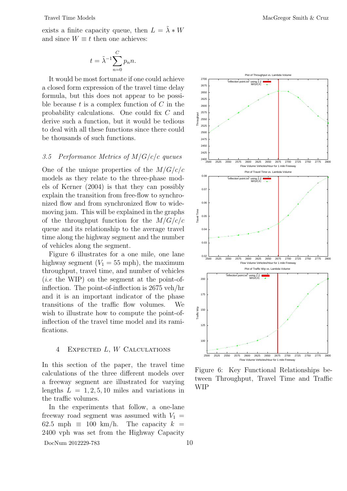Travel Time Models **MacGregor Smith & Cruz** 

exists a finite capacity queue, then  $L = \lambda * W$ and since  $W \equiv t$  then one achieves:

$$
t = \tilde{\lambda}^{-1} \sum_{n=0}^{C} p_n n.
$$

It would be most fortunate if one could achieve a closed form expression of the travel time delay formula, but this does not appear to be possible because  $t$  is a complex function of  $C$  in the probability calculations. One could fix C and derive such a function, but it would be tedious to deal with all these functions since there could be thousands of such functions.

# 3.5 Performance Metrics of  $M/G/c/c$  queues

One of the unique properties of the  $M/G/c/c$ models as they relate to the three-phase models of Kerner (2004) is that they can possibly explain the transition from free-flow to synchronized flow and from synchronized flow to widemoving jam. This will be explained in the graphs of the throughput function for the  $M/G/c/c$ queue and its relationship to the average travel time along the highway segment and the number of vehicles along the segment.

Figure 6 illustrates for a one mile, one lane highway segment  $(V_1 = 55 \text{ mph})$ , the maximum throughput, travel time, and number of vehicles  $(i.e. the WIP)$  on the segment at the point-ofinflection. The point-of-inflection is 2675 veh/hr and it is an important indicator of the phase transitions of the traffic flow volumes. We wish to illustrate how to compute the point-ofinflection of the travel time model and its ramifications.

## 4 Expected L, W Calculations

In this section of the paper, the travel time calculations of the three different models over a freeway segment are illustrated for varying lengths  $L = 1, 2, 5, 10$  miles and variations in the traffic volumes.

In the experiments that follow, a one-lane freeway road segment was assumed with  $V_1$  = 62.5 mph  $\equiv$  100 km/h. The capacity  $k =$ 2400 vph was set from the Highway Capacity



Figure 6: Key Functional Relationships between Throughput, Travel Time and Traffic WIP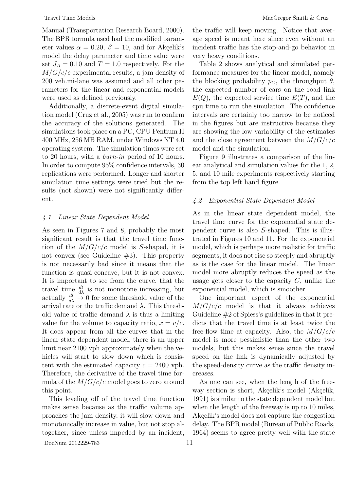Manual (Transportation Research Board, 2000). The BPR formula used had the modified parameter values  $\alpha = 0.20, \beta = 10$ , and for Akçelik's model the delay parameter and time value were set  $J_A = 0.10$  and  $T = 1.0$  respectively. For the  $M/G/c/c$  experimental results, a jam density of 200 veh.mi-lane was assumed and all other parameters for the linear and exponential models were used as defined previously.

Additionally, a discrete-event digital simulation model (Cruz et al., 2005) was run to confirm the accuracy of the solutions generated. The simulations took place on a PC, CPU Pentium II 400 MHz, 256 MB RAM, under Windows NT 4.0 operating system. The simulation times were set to 20 hours, with a burn-in period of 10 hours. In order to compute 95% confidence intervals, 30 replications were performed. Longer and shorter simulation time settings were tried but the results (not shown) were not significantly different.

# 4.1 Linear State Dependent Model

As seen in Figures 7 and 8, probably the most significant result is that the travel time function of the  $M/G/c/c$  model is S-shaped, it is not convex (see Guideline  $#3$ ). This property is not necessarily bad since it means that the function is quasi-concave, but it is not convex. It is important to see from the curve, that the travel time  $\frac{dt}{d\lambda}$  is not monotone increasing, but actually  $\frac{dt}{d\lambda} \to 0$  for some threshold value of the arrival rate or the traffic demand  $\lambda$ . This threshold value of traffic demand  $\lambda$  is thus a limiting value for the volume to capacity ratio,  $x = v/c$ . It does appear from all the curves that in the linear state dependent model, there is an upper limit near 2100 vph approximately when the vehicles will start to slow down which is consistent with the estimated capacity  $c = 2400$  vph. Therefore, the derivative of the travel time formula of the  $M/G/c/c$  model goes to zero around this point.

This leveling off of the travel time function makes sense because as the traffic volume approaches the jam density, it will slow down and monotonically increase in value, but not stop altogether, since unless impeded by an incident, the traffic will keep moving. Notice that average speed is meant here since even without an incident traffic has the stop-and-go behavior in very heavy conditions.

Table 2 shows analytical and simulated performance measures for the linear model, namely the blocking probability  $p_C$ , the throughput  $\theta$ , the expected number of cars on the road link  $E(Q)$ , the expected service time  $E(T)$ , and the cpu time to run the simulation. The confidence intervals are certainly too narrow to be noticed in the figures but are instructive because they are showing the low variability of the estimates and the close agreement between the  $M/G/c/c$ model and the simulation.

Figure 9 illustrates a comparison of the linear analytical and simulation values for the 1, 2, 5, and 10 mile experiments respectively starting from the top left hand figure.

# 4.2 Exponential State Dependent Model

As in the linear state dependent model, the travel time curve for the exponential state dependent curve is also S-shaped. This is illustrated in Figures 10 and 11. For the exponential model, which is perhaps more realistic for traffic segments, it does not rise so steeply and abruptly as is the case for the linear model. The linear model more abruptly reduces the speed as the usage gets closer to the capacity  $C$ , unlike the exponential model, which is smoother.

One important aspect of the exponential  $M/G/c/c$  model is that it always achieves Guideline  $#2$  of Spiess's guidelines in that it predicts that the travel time is at least twice the free-flow time at capacity. Also, the  $M/G/c/c$ model is more pessimistic than the other two models, but this makes sense since the travel speed on the link is dynamically adjusted by the speed-density curve as the traffic density increases.

As one can see, when the length of the freeway section is short, Akçelik's model (Akçelik, 1991) is similar to the state dependent model but when the length of the freeway is up to 10 miles, Akçelik's model does not capture the congestion delay. The BPR model (Bureau of Public Roads, 1964) seems to agree pretty well with the state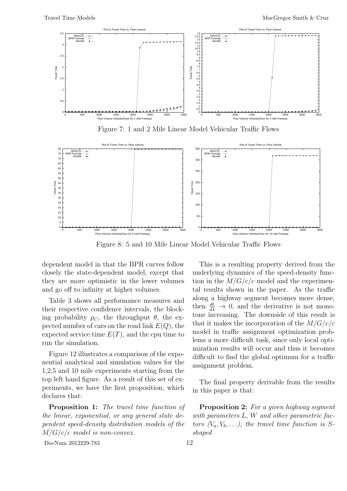

Figure 7: 1 and 2 Mile Linear Model Vehicular Traffic Flows



Figure 8: 5 and 10 Mile Linear Model Vehicular Traffic Flows

dependent model in that the BPR curves follow closely the state-dependent model, except that they are more optimistic in the lower volumes and go off to infinity at higher volumes.

Table 3 shows all performance measures and their respective confidence intervals, the blocking probability  $p<sub>C</sub>$ , the throughput  $\theta$ , the expected number of cars on the road link  $E(Q)$ , the expected service time  $E(T)$ , and the cpu time to run the simulation.

Figure 12 illustrates a comparison of the exponential analytical and simulation values for the 1,2,5 and 10 mile experiments starting from the top left hand figure. As a result of this set of experiments, we have the first proposition, which declares that:

Proposition 1: The travel time function of the linear, exponential, or any general state dependent speed-density distribution models of the  $M/G/c/c$  model is non-convex.

DocNum 2012229-783 12

This is a resulting property derived from the underlying dynamics of the speed-density function in the  $M/G/c/c$  model and the experimental results shown in the paper. As the traffic along a highway segment becomes more dense, then  $\frac{dt}{d\lambda} \to 0$ , and the derivative is not monotone increasing. The downside of this result is that it makes the incorporation of the  $M/G/c/c$ model in traffic assignment optimization problems a more difficult task, since only local optimization results will occur and thus it becomes difficult to find the global optimum for a traffic assignment problem.

The final property derivable from the results in this paper is that:

Proposition 2: For a given highway segment with parameters L, W and other parametric factors  $(V_a, V_b, \ldots)$ , the travel time function is Sshaped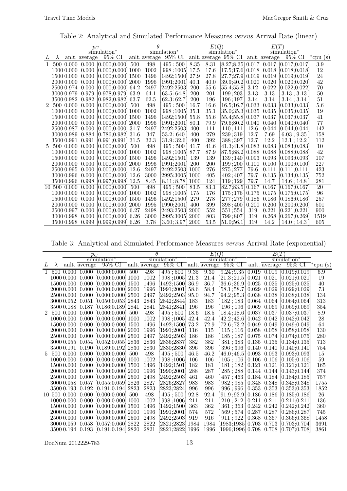Table 2: Analytical and Simulated Performance Measures versus Arrival Rate (linear)

| $\theta$<br>E(T)<br>E(Q)<br>$p_C$<br>simulation <sup>*</sup><br>simulation <sup>*</sup><br>simulation <sup>*</sup><br>simulation <sup>*</sup><br>$95\%$ CI and $\alpha$ are $95\%$ CI and $\alpha$ average<br>$95\%$ CI and $\overline{\text{average}}$<br>$95\%$ CI <sup>-*</sup> cpu (s)<br>and average<br>L<br>$\lambda$<br>498<br>8.35<br>8.31<br>$[8.27; 8.35] 0.017 0.017 0.017; 0.017;$<br>500 0.000 0.000 [0.000;0.000]<br>500<br>495;500<br>1002<br>998;1005]<br>0.000<br>[0.000:0.000]<br>17.5<br>17.6<br>[17.5; 17.6] 0.018 0.018<br>[0.018:0.018]<br>1000 0.000<br>1000<br>27.8<br>$\left[27.7;27.9\right]0.019$<br>0.000<br>[0.000; 0.000]<br>1500<br>1496<br>1492;1500<br>27.9<br>0.019<br>[0.019:0.019]<br>1500 0.000<br>0.000<br>1996<br>40.0<br>[39.9; 40.2] 0.020<br>0.020<br>[0.020; 0.020]<br>2000 0.000<br>[0.000:0.000] 2000<br>1991:2001<br>40.1<br>3.12<br>0.022<br>[0.022; 0.022]<br>[0.000; 0.000]<br>64.2<br>2497<br>2492;2503]<br>200<br>55.6<br>2500 0.974 0.000<br>[55.4;55.8]<br>3.13<br>0.979<br>63.9<br>200<br>201<br>199;203<br>3.13<br>3.13; 3.13<br>3000 0.979<br>$[0.978\mathord{:}0.979]$<br>64.1<br>63.5;64.8<br>62.5<br>3500 0.982 0.982<br>[0.982; 0.982]<br>63.7<br><b>200</b><br>196<br>3.14<br>3.14<br>62.3;62.7<br>196;197<br>3.14; 3.14<br>16.7<br>2<br>498<br>16.6<br>16.5;16.7] 0.033<br>0.033<br>[0.033; 0.033]<br>500 0.000<br>0.000<br>[0.000:0.000]<br>500<br>495:500 |                  |
|---------------------------------------------------------------------------------------------------------------------------------------------------------------------------------------------------------------------------------------------------------------------------------------------------------------------------------------------------------------------------------------------------------------------------------------------------------------------------------------------------------------------------------------------------------------------------------------------------------------------------------------------------------------------------------------------------------------------------------------------------------------------------------------------------------------------------------------------------------------------------------------------------------------------------------------------------------------------------------------------------------------------------------------------------------------------------------------------------------------------------------------------------------------------------------------------------------------------------------------------------------------------------------------------------------------------------------------------------------------------------------------------------------------------------|------------------|
|                                                                                                                                                                                                                                                                                                                                                                                                                                                                                                                                                                                                                                                                                                                                                                                                                                                                                                                                                                                                                                                                                                                                                                                                                                                                                                                                                                                                                           |                  |
|                                                                                                                                                                                                                                                                                                                                                                                                                                                                                                                                                                                                                                                                                                                                                                                                                                                                                                                                                                                                                                                                                                                                                                                                                                                                                                                                                                                                                           |                  |
|                                                                                                                                                                                                                                                                                                                                                                                                                                                                                                                                                                                                                                                                                                                                                                                                                                                                                                                                                                                                                                                                                                                                                                                                                                                                                                                                                                                                                           |                  |
|                                                                                                                                                                                                                                                                                                                                                                                                                                                                                                                                                                                                                                                                                                                                                                                                                                                                                                                                                                                                                                                                                                                                                                                                                                                                                                                                                                                                                           | $\overline{3.9}$ |
|                                                                                                                                                                                                                                                                                                                                                                                                                                                                                                                                                                                                                                                                                                                                                                                                                                                                                                                                                                                                                                                                                                                                                                                                                                                                                                                                                                                                                           | 12               |
|                                                                                                                                                                                                                                                                                                                                                                                                                                                                                                                                                                                                                                                                                                                                                                                                                                                                                                                                                                                                                                                                                                                                                                                                                                                                                                                                                                                                                           | 24               |
|                                                                                                                                                                                                                                                                                                                                                                                                                                                                                                                                                                                                                                                                                                                                                                                                                                                                                                                                                                                                                                                                                                                                                                                                                                                                                                                                                                                                                           | 42               |
|                                                                                                                                                                                                                                                                                                                                                                                                                                                                                                                                                                                                                                                                                                                                                                                                                                                                                                                                                                                                                                                                                                                                                                                                                                                                                                                                                                                                                           | 70               |
|                                                                                                                                                                                                                                                                                                                                                                                                                                                                                                                                                                                                                                                                                                                                                                                                                                                                                                                                                                                                                                                                                                                                                                                                                                                                                                                                                                                                                           | 50               |
|                                                                                                                                                                                                                                                                                                                                                                                                                                                                                                                                                                                                                                                                                                                                                                                                                                                                                                                                                                                                                                                                                                                                                                                                                                                                                                                                                                                                                           | $51\,$           |
|                                                                                                                                                                                                                                                                                                                                                                                                                                                                                                                                                                                                                                                                                                                                                                                                                                                                                                                                                                                                                                                                                                                                                                                                                                                                                                                                                                                                                           | 5.6              |
| 1002<br>35.1<br>35.1<br>[35.0;35.3] 0.035<br>0.035<br>0.000<br>[0.000; 0.000]<br>1000<br>998;1005]<br>[0.035; 0.035]<br>1000 0.000                                                                                                                                                                                                                                                                                                                                                                                                                                                                                                                                                                                                                                                                                                                                                                                                                                                                                                                                                                                                                                                                                                                                                                                                                                                                                        | 19               |
| 1496<br>1492;1500<br>55.6<br>[55.4; 55.8] 0.037<br>0.037<br>[0.037; 0.037]<br>1500 0.000<br>0.000<br>[0.000:0.000]<br>1500<br>55.8                                                                                                                                                                                                                                                                                                                                                                                                                                                                                                                                                                                                                                                                                                                                                                                                                                                                                                                                                                                                                                                                                                                                                                                                                                                                                        | 41               |
| 1996<br>1991;2001<br>80.1<br>79.9<br>79.6;80.2] 0.040<br>0.040<br>[0.040; 0.040]<br>2000 0.000<br>0.000<br>[0.000;0.000]<br>2000                                                                                                                                                                                                                                                                                                                                                                                                                                                                                                                                                                                                                                                                                                                                                                                                                                                                                                                                                                                                                                                                                                                                                                                                                                                                                          | 77               |
| 2497<br>2500 0.987<br>0.000<br>[0.000; 0.000]<br>31.7<br>2492;2503<br>400<br>111<br>110:111<br>12.6<br>0.044<br>$[0.044\mathord{:}0.044]$                                                                                                                                                                                                                                                                                                                                                                                                                                                                                                                                                                                                                                                                                                                                                                                                                                                                                                                                                                                                                                                                                                                                                                                                                                                                                 | 142              |
| 53.2;640<br>279<br>347<br>239;319<br>12.7<br>7.69<br>3000 0.989<br>0.884<br>[0.786; 0.982]<br>31.6<br>400<br>6.03; 9.35                                                                                                                                                                                                                                                                                                                                                                                                                                                                                                                                                                                                                                                                                                                                                                                                                                                                                                                                                                                                                                                                                                                                                                                                                                                                                                   | 158              |
| 32.3<br>392<br>12.2<br>0.991<br>12.7<br>35000.991<br>[0.991; 0.991]<br>31.5<br>31.9;32.6<br>400<br>388:397<br>12.1; 12.2                                                                                                                                                                                                                                                                                                                                                                                                                                                                                                                                                                                                                                                                                                                                                                                                                                                                                                                                                                                                                                                                                                                                                                                                                                                                                                  | 112              |
| 0.083<br>$\overline{5}$<br>0.000<br>498<br>41.7<br>41.6<br>$\overline{41.3;41.8}\,0.083$<br>[0.083; 0.083]<br>500 0.000<br>[0.000:0.000]<br>500<br>$495 \div 500$                                                                                                                                                                                                                                                                                                                                                                                                                                                                                                                                                                                                                                                                                                                                                                                                                                                                                                                                                                                                                                                                                                                                                                                                                                                         | 10               |
| 87.7<br>1002<br>87.9<br>[87.5;88.2] 0.088<br>0.088<br>[0.088; 0.088]<br>1000 0.000<br>0.000<br>[0.000; 0.000]<br>1000<br>998;1005]                                                                                                                                                                                                                                                                                                                                                                                                                                                                                                                                                                                                                                                                                                                                                                                                                                                                                                                                                                                                                                                                                                                                                                                                                                                                                        | 42               |
| 1496<br>139<br>139<br>0.093<br>1500 0.000<br>0.000<br>[0.000;0.000]<br>1500<br>1492:1501<br>139:140<br>$\mid 0.093 \mid$<br>$\left[0.093 ; 0.093\right]$                                                                                                                                                                                                                                                                                                                                                                                                                                                                                                                                                                                                                                                                                                                                                                                                                                                                                                                                                                                                                                                                                                                                                                                                                                                                  | 107              |
| 1996<br>200<br>2000 0.000<br>0.000<br>$[0.000; 0.000]$ 2000<br>1991:2001<br><b>200</b><br>199;200<br>0.100<br>0.100<br>[0.100; 0.100]                                                                                                                                                                                                                                                                                                                                                                                                                                                                                                                                                                                                                                                                                                                                                                                                                                                                                                                                                                                                                                                                                                                                                                                                                                                                                     | 227              |
| 276<br>2500 0.995<br>0.000<br>[0.000; 0.000]<br>12.6<br>2497<br>2492;2503<br>1000<br>275;277<br>79.6<br>0.111<br>[0.111; 0.111]                                                                                                                                                                                                                                                                                                                                                                                                                                                                                                                                                                                                                                                                                                                                                                                                                                                                                                                                                                                                                                                                                                                                                                                                                                                                                           | 423              |
| 0.135<br>3000 0.996<br>0.000<br>[0.000; 0.000]<br>12.6<br>3000<br>2995;3005]<br>1000<br>405<br>402;407<br>79.7<br>[0.134; 0.135]                                                                                                                                                                                                                                                                                                                                                                                                                                                                                                                                                                                                                                                                                                                                                                                                                                                                                                                                                                                                                                                                                                                                                                                                                                                                                          | 752              |
| 0.998<br>[0.997; 0.998]<br>12.5<br>8.11; 8.78<br>1000<br>124<br>119;129<br>79.7<br>14.7<br>3500 0.996<br>8.45<br>14.6:14.8                                                                                                                                                                                                                                                                                                                                                                                                                                                                                                                                                                                                                                                                                                                                                                                                                                                                                                                                                                                                                                                                                                                                                                                                                                                                                                | 281              |
| 83.1<br>498<br>83.5<br>0.167<br>[0.167:0.167]<br>10 500 0.000<br>0.000<br>[0.000:0.000]<br>500<br>495:500<br>82.7:83.5<br>0.167                                                                                                                                                                                                                                                                                                                                                                                                                                                                                                                                                                                                                                                                                                                                                                                                                                                                                                                                                                                                                                                                                                                                                                                                                                                                                           | $\overline{20}$  |
| 0.000<br>[0.000; 0.000]<br>1000<br>1002<br>998;1005]<br>175<br>176<br>175;176<br>0.175<br>0.175<br>[0.175; 0.175]<br>1000 0.000                                                                                                                                                                                                                                                                                                                                                                                                                                                                                                                                                                                                                                                                                                                                                                                                                                                                                                                                                                                                                                                                                                                                                                                                                                                                                           | 96               |
| 278<br>1496<br>279<br>0.186<br>0.186<br>1500 0.000<br>0.000<br>[0.000; 0.000]<br>1500<br>1492;1500<br>277;279<br>$[0.186\mathord{:}0.186]$                                                                                                                                                                                                                                                                                                                                                                                                                                                                                                                                                                                                                                                                                                                                                                                                                                                                                                                                                                                                                                                                                                                                                                                                                                                                                | 257              |
| 1995<br>399<br>0.000<br>1990;2001<br>398;400<br>0.200<br>0.200<br>[0.200:0.200]<br>2000 0.000<br>[0.000; 0.000]<br>2000<br>400                                                                                                                                                                                                                                                                                                                                                                                                                                                                                                                                                                                                                                                                                                                                                                                                                                                                                                                                                                                                                                                                                                                                                                                                                                                                                            | 501              |
| 6.27<br>2498<br>552<br>0.221<br>[0.221; 0.221]<br>2500 0.997<br>0.000<br>[0.000; 0.000]<br>2493;2503<br>2000<br>551;554<br>319                                                                                                                                                                                                                                                                                                                                                                                                                                                                                                                                                                                                                                                                                                                                                                                                                                                                                                                                                                                                                                                                                                                                                                                                                                                                                            | 900              |
| 803<br>0.268<br>0.000<br>[0.000; 0.000]<br>6.26<br>3000<br>2995;3005<br>2000<br>799;807<br>319<br>[0.267; 0.269]<br>3000 0.998                                                                                                                                                                                                                                                                                                                                                                                                                                                                                                                                                                                                                                                                                                                                                                                                                                                                                                                                                                                                                                                                                                                                                                                                                                                                                            | 1519             |
| 53.5<br>3.78<br>3.60; 3.97<br>14.2<br>3500 0.998<br>0.999<br>[0.999:0.999]<br>6.26<br><b>2000</b><br>51.0:56.1<br>319<br>14.0:14.3                                                                                                                                                                                                                                                                                                                                                                                                                                                                                                                                                                                                                                                                                                                                                                                                                                                                                                                                                                                                                                                                                                                                                                                                                                                                                        | 605              |

Table 3: Analytical and Simulated Performance Measures versus Arrival Rate (exponential)

|                |           |               | $p_C$            |                                     |      | θ                       |                                                                                     | E(Q)              |      |                                           | E(T) |                                 |                                                    |        |
|----------------|-----------|---------------|------------------|-------------------------------------|------|-------------------------|-------------------------------------------------------------------------------------|-------------------|------|-------------------------------------------|------|---------------------------------|----------------------------------------------------|--------|
|                |           |               |                  | simulation <sup>*</sup>             |      | simulation <sup>*</sup> |                                                                                     | simulation*       |      | simulation <sup>*</sup>                   |      |                                 |                                                    |        |
| L              | $\lambda$ |               | and average      |                                     |      |                         | $95\%$ CI and $\overline{\text{average}}$ $95\%$ CI and $\overline{\text{average}}$ |                   |      | $95\%$ CI and $\overline{\text{average}}$ |      |                                 | $95\%$ CI <sup>-*</sup> cpu (s)                    |        |
| $\overline{1}$ |           |               |                  | 500 0.000 0.000 0.000:0.000         | 500  | 498                     | $495 \, ; \, 500$                                                                   | $9.\overline{35}$ | 9.30 |                                           |      |                                 | $[9.24; 9.35] 0.019 0.019 [0.019; 0.019]$          | 6.9    |
|                |           |               | 1000 0.000 0.000 | $[0.000; 0.000]$ 1000               |      | 1002                    | 998;1005]                                                                           | 21.3              | 21.4 | 21.3; 21.5   0.021 0.021                  |      |                                 | [0.021; 0.021]                                     | 19     |
|                |           | 1500 0.000    | 0.000            | $[0.000:0.000]$ 1500                |      | 1496                    | 1492;1500                                                                           | 36.9              | 36.7 | 36.6;36.9 0.025 0.025                     |      |                                 | [0.025:0.025]                                      | 40     |
|                |           | 2000 0.000    | 0.000            | $[0.000; 0.000]$ 2000               |      | 1996                    | [1991;2001]                                                                         | 58.6              | 58.4 | $58.1;58.7]0.029$ 0.029                   |      |                                 | [0.029:0.029]                                      | $73\,$ |
|                |           | 2500 0.000    | 0.000            | [0.000:0.000]                       | 2500 | 2497                    | 2492;2503                                                                           | 95.0              | 94.7 | 94.2; 95.3] 0.038 0.038                   |      |                                 | [0.038:0.038]                                      | 134    |
|                |           | 3000 0.052    | 0.051            | $[0.050; 0.053]$ 2843               |      | 2843                    | 2842;2844                                                                           | 183               | 183  | 182;183                                   |      | $\vert 0.064 \vert 0.064 \vert$ | [0.064; 0.064]                                     | 313    |
|                |           |               | 35000.188 0.187  | $[0.186; 0.189]$ 2841               |      | 2841                    | 2841;2841                                                                           | 196               | 196  | 196; 196   0.069 0.069                    |      |                                 | [0.069:0.069]                                      | 354    |
| $\overline{2}$ |           | 500 0.000     | 0.000            | [0.000:0.000]                       | 500  | 498                     | 495;500                                                                             | 18.6              | 18.5 | 18.4; 18.6   0.037 0.037                  |      |                                 | [0.037; 0.037]                                     | 8.9    |
|                |           | $1000\,0.000$ | 0.000            | $[0.000; 0.000]$ 1000               |      | 1002                    | 998;1005]                                                                           | 42.4              | 42.4 | $42.2; 42.6 \mid 0.042 \quad 0.042$       |      |                                 | [0.042; 0.042]                                     | $28\,$ |
|                |           | 1500 0.000    | 0.000            | [0.000:0.000]                       | 1500 | 1496                    | 1492;1500                                                                           | 73.2              | 72.9 | 72.6;73.2 0.049 0.049                     |      |                                 | [0.049:0.049]                                      | 64     |
|                |           | 2000 0.000    | 0.000            | $[0.000; 0.000]$ 2000               |      | 1996                    | 1991;2001                                                                           | 116               | 115  | $115$ ; 116   0.058 0.058                 |      |                                 | [0.058:0.058]                                      | 130    |
|                |           | 2500 0.000    | 0.000            | $[0.000; 0.000]$ 2500               |      | 2497                    | 2492;2503                                                                           | 186               | 186  | 185;187                                   |      | 0.075 0.074                     | [0.074:0.075]                                      | 280    |
|                |           | 3000 0.055    |                  | $0.054$ [0.052;0.055] 2836          |      | 2836                    | 2836;2837                                                                           | 382               | 382  | 381;383 0.135 0.135                       |      |                                 | [0.134:0.135]                                      | 713    |
|                |           | 3500 0.191    | 0.190            | $[0.189; 0.192]$ 2830               |      | 2830                    | 2830;2830                                                                           | 396               | 396  |                                           |      |                                 | 396;396 0.140 0.140 0.140;0.140                    | 754    |
|                |           | 5 500 0.000   | 0.000            | [0.000:0.000]                       | 500  | 498                     | 495:500                                                                             | 46.5              | 46.2 | 46.0:46.5                                 |      | 0.093 0.093                     | [0.093:0.093]                                      | 15     |
|                |           | 1000 0.000    | 0.000            | $[0.000; 0.000]$ 1000               |      | 1002                    | 998;1006                                                                            | 106               | 106  | 105:106                                   |      | 0.106 0.106                     | [0.105; 0.106]                                     | $59\,$ |
|                |           | 1500 0.000    | 0.000            | $[0.000; 0.000]$ 1500               |      | 1496                    | 1492;1501                                                                           | 182               | 181  | 181;182                                   |      | $0.121$ $0.121$                 | [0.121; 0.121]                                     | 165    |
|                |           | 2000 0.000    | 0.000            | $[0.000; 0.000]$ 2000               |      | 1996                    | 1990;2001                                                                           | 288               | 287  | 285:288                                   |      |                                 | $\vert 0.144 \vert 0.144 \vert 0.143; 0.144 \vert$ | 374    |
|                |           | 2500 0.000    | 0.000            | $[0.000; 0.000]$ 2500               |      | 2498                    | 2492;2503                                                                           | 461               | 460  |                                           |      |                                 | 457;463 0.184 0.184 0.184;0.185                    | 757    |
|                |           | 3000 0.058    | 0.057            | $[0.055:0.059]$ 2826                |      | 2827                    | 2826;2827                                                                           | 983               | 983  | $982 \, \vdots \, 985$                    |      | 0.348 0.348                     | [0.348:0.348]                                      | 1755   |
|                |           | 3500 0.193    | 0.192            | $[0.191; 0.194]$ 2823               |      | 2823                    | 2823;2824                                                                           | 996               | 996  | 996:996                                   |      |                                 | $0.353$ $0.353$ $[0.353;0.353]$                    | 1852   |
|                |           | 10 500 0.000  | 0.000            | [0.000; 0.000]                      | 500  | 498                     | 495;500                                                                             | 92.8              | 92.4 |                                           |      |                                 | $91.9;92.9$ 0.186 0.186 0.185;0.186                | 26     |
|                |           | 1000 0.000    | 0.000            | $[0.000; 0.000]$ 1000               |      | 1002                    | 998;1006                                                                            | 211               | 211  | 210;212                                   |      | $0.211$ $0.211$                 | [0.211:0.211]                                      | 136    |
|                |           | 1500 0.000    | 0.000            | $[0.000; 0.000]$ 1500               |      | 1496                    | 1492;1500]                                                                          | 363               | 362  | 361;363 0.242 0.242                       |      |                                 | [0.242:0.242]                                      | 360    |
|                |           | 2000 0.000    | 0.000            | [0.000:0.000]                       | 2000 | 1996                    | 1991;2001                                                                           | 574               | 572  | $569 \, \mathrm{;}\, 574$                 |      | $0.287$ $0.287$                 | [0.286:0.287]                                      | 745    |
|                |           | 2500 0.000    | 0.000            | $[0.000; 0.000]$ 2500               |      | 2498                    | 2492;2503                                                                           | 919               | 916  | 911:922                                   |      | 0.368 0.367                     | [0.366:0.368]                                      | 1458   |
|                |           | 3000 0.059    | 0.058            | $[0.057; 0.060]$ 2822               |      | 2822                    | [2821; 2823]                                                                        | 1984              | 1984 | 1983;1985 0.703 0.703                     |      |                                 | [0.703:0.704]                                      | 3691   |
|                |           |               |                  | 3500 0.194 0.193 [0.191;0.194] 2820 |      | 2821                    | 2821;2822]                                                                          | 1996              | 1996 |                                           |      |                                 | 1996;1996 0.708 0.708 0.707;0.708                  | 3861   |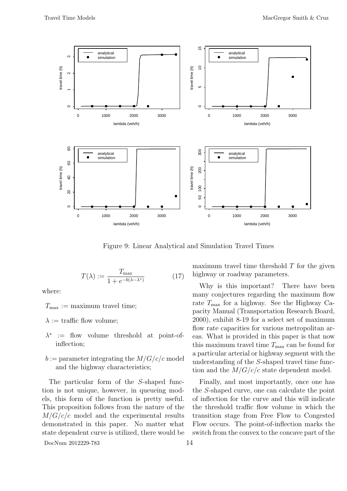

Figure 9: Linear Analytical and Simulation Travel Times

$$
T(\lambda) := \frac{T_{\text{max}}}{1 + e^{-b(\lambda - \lambda^*)}} \tag{17}
$$

where:

 $T_{\text{max}} := \text{maximum travel time};$ 

 $\lambda := \text{ traffic flow volume};$ 

- $\lambda^*$  := flow volume threshold at point-ofinflection;
- $b :=$  parameter integrating the  $M/G/c/c$  model and the highway characteristics;

The particular form of the S-shaped function is not unique, however, in queueing models, this form of the function is pretty useful. This proposition follows from the nature of the  $M/G/c/c$  model and the experimental results demonstrated in this paper. No matter what state dependent curve is utilized, there would be

DocNum 2012229-783 14

maximum travel time threshold  $T$  for the given highway or roadway parameters.

Why is this important? There have been many conjectures regarding the maximum flow rate  $T_{\text{max}}$  for a highway. See the Highway Capacity Manual (Transportation Research Board, 2000), exhibit 8-19 for a select set of maximum flow rate capacities for various metropolitan areas. What is provided in this paper is that now this maximum travel time  $T_{\text{max}}$  can be found for a particular arterial or highway segment with the understanding of the S-shaped travel time function and the  $M/G/c/c$  state dependent model.

Finally, and most importantly, once one has the S-shaped curve, one can calculate the point of inflection for the curve and this will indicate the threshold traffic flow volume in which the transition stage from Free Flow to Congested Flow occurs. The point-of-inflection marks the switch from the convex to the concave part of the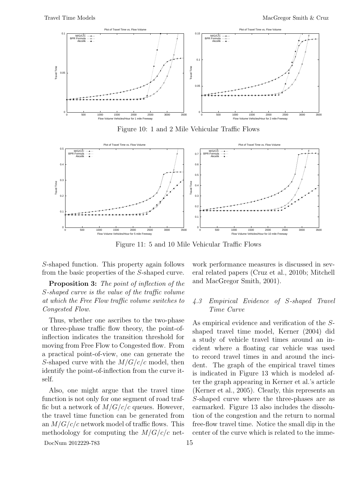

Figure 10: 1 and 2 Mile Vehicular Traffic Flows



Figure 11: 5 and 10 Mile Vehicular Traffic Flows

S-shaped function. This property again follows from the basic properties of the S-shaped curve.

Proposition 3: The point of inflection of the S-shaped curve is the value of the traffic volume at which the Free Flow traffic volume switches to Congested Flow.

Thus, whether one ascribes to the two-phase or three-phase traffic flow theory, the point-ofinflection indicates the transition threshold for moving from Free Flow to Congested flow. From a practical point-of-view, one can generate the S-shaped curve with the  $M/G/c/c$  model, then identify the point-of-inflection from the curve itself.

Also, one might argue that the travel time function is not only for one segment of road traffic but a network of  $M/G/c/c$  queues. However, the travel time function can be generated from an  $M/G/c/c$  network model of traffic flows. This methodology for computing the  $M/G/c/c$  net-

DocNum 2012229-783 15

work performance measures is discussed in several related papers (Cruz et al., 2010b; Mitchell and MacGregor Smith, 2001).

# 4.3 Empirical Evidence of S-shaped Travel Time Curve

As empirical evidence and verification of the Sshaped travel time model, Kerner (2004) did a study of vehicle travel times around an incident where a floating car vehicle was used to record travel times in and around the incident. The graph of the empirical travel times is indicated in Figure 13 which is modeled after the graph appearing in Kerner et al.'s article (Kerner et al., 2005). Clearly, this represents an S-shaped curve where the three-phases are as earmarked. Figure 13 also includes the dissolution of the congestion and the return to normal free-flow travel time. Notice the small dip in the center of the curve which is related to the imme-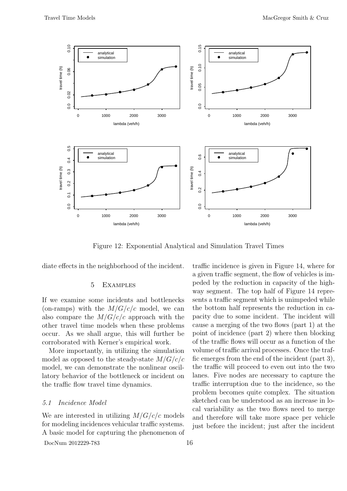

Figure 12: Exponential Analytical and Simulation Travel Times

diate effects in the neighborhood of the incident.

# 5 Examples

If we examine some incidents and bottlenecks (on-ramps) with the  $M/G/c/c$  model, we can also compare the  $M/G/c/c$  approach with the other travel time models when these problems occur. As we shall argue, this will further be corroborated with Kerner's empirical work.

More importantly, in utilizing the simulation model as opposed to the steady-state  $M/G/c/c$ model, we can demonstrate the nonlinear oscillatory behavior of the bottleneck or incident on the traffic flow travel time dynamics.

# 5.1 Incidence Model

We are interested in utilizing  $M/G/c/c$  models for modeling incidences vehicular traffic systems. A basic model for capturing the phenomenon of

DocNum 2012229-783 16

traffic incidence is given in Figure 14, where for a given traffic segment, the flow of vehicles is impeded by the reduction in capacity of the highway segment. The top half of Figure 14 represents a traffic segment which is unimpeded while the bottom half represents the reduction in capacity due to some incident. The incident will cause a merging of the two flows (part 1) at the point of incidence (part 2) where then blocking of the traffic flows will occur as a function of the volume of traffic arrival processes. Once the traffic emerges from the end of the incident (part 3), the traffic will proceed to even out into the two lanes. Five nodes are necessary to capture the traffic interruption due to the incidence, so the problem becomes quite complex. The situation sketched can be understood as an increase in local variability as the two flows need to merge and therefore will take more space per vehicle just before the incident; just after the incident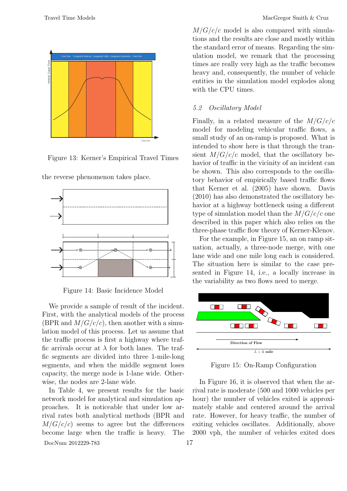

Figure 13: Kerner's Empirical Travel Times



the reverse phenomenon takes place.

Figure 14: Basic Incidence Model

We provide a sample of result of the incident. First, with the analytical models of the process (BPR and  $M/G/c/c$ ), then another with a simulation model of this process. Let us assume that the traffic process is first a highway where traffic arrivals occur at  $\lambda$  for both lanes. The traffic segments are divided into three 1-mile-long segments, and when the middle segment loses capacity, the merge node is 1-lane wide. Otherwise, the nodes are 2-lane wide.

In Table 4, we present results for the basic network model for analytical and simulation approaches. It is noticeable that under low arrival rates both analytical methods (BPR and  $M/G/c/c$  seems to agree but the differences become large when the traffic is heavy. The

DocNum 2012229-783 17

 $M/G/c/c$  model is also compared with simulations and the results are close and mostly within the standard error of means. Regarding the simulation model, we remark that the processing times are really very high as the traffic becomes heavy and, consequently, the number of vehicle entities in the simulation model explodes along with the CPU times.

# 5.2 Oscillatory Model

Finally, in a related measure of the  $M/G/c/c$ model for modeling vehicular traffic flows, a small study of an on-ramp is proposed. What is intended to show here is that through the transient  $M/G/c/c$  model, that the oscillatory behavior of traffic in the vicinity of an incident can be shown. This also corresponds to the oscillatory behavior of empirically based traffic flows that Kerner et al. (2005) have shown. Davis (2010) has also demonstrated the oscillatory behavior at a highway bottleneck using a different type of simulation model than the  $M/G/c/c$  one described in this paper which also relies on the three-phase traffic flow theory of Kerner-Klenov.

For the example, in Figure 15, an on ramp situation, actually, a three-node merge, with one lane wide and one mile long each is considered. The situation here is similar to the case presented in Figure 14, i.e., a locally increase in the variability as two flows need to merge.



Figure 15: On-Ramp Configuration

In Figure 16, it is observed that when the arrival rate is moderate (500 and 1000 vehicles per hour) the number of vehicles exited is approximately stable and centered around the arrival rate. However, for heavy traffic, the number of exiting vehicles oscillates. Additionally, above 2000 vph, the number of vehicles exited does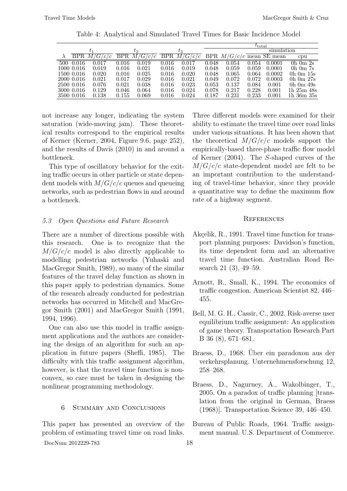|     | $t_{\rm total}$ |             |           |                                       |           |         |            |          |             |                           |                    |
|-----|-----------------|-------------|-----------|---------------------------------------|-----------|---------|------------|----------|-------------|---------------------------|--------------------|
|     |                 | $t_2$       |           |                                       |           | $t_{3}$ | simulation |          |             |                           |                    |
|     |                 | BPR/M/G/c/c | BPR/M     | $\langle G/c \rangle$<br>$^{\prime}c$ | BPR.      | M/G/c/c |            | BPR M/G/ |             | $\sqrt{c/c}$ mean SE mean | cpu                |
| 500 | 0.016           | 0.017       | $0.016\,$ | 0.019                                 | $0.016\,$ | 0.017   | 0.048      | 0.054    | 0.054       | 0.0001                    | $0h$ $0m$ $2s$     |
|     | 1000 0.016      | 0.019       | 0.016     | 0.021                                 | 0.016     | 0.019   | 0.048      | 0.059    | 0.059       | 0.0001                    | $0h$ $0m$ $7s$     |
|     | 1500 0.016      | 0.020       | 0.016     | 0.025                                 | 0.016     | 0.020   | 0.048      | 0.065    | 0.064       | 0.0002                    | $0h$ 0m $15s$      |
|     | 2000 0.016      | 0.021       | 0.017     | 0.029                                 | 0.016     | 0.021   | 0.049      | 0.072    | 0.072       | 0.0003                    | 0 $h$ 0 $m$ 27 $s$ |
|     | 2500 0.016      | 0.076       | 0.021     | 0.038                                 | 0.016     | 0.023   | 0.053      | 0.137    | 0.084       | 0.001                     | $0h$ 0 m $49s$     |
|     | 3000 0.016      | 0.129       | 0.046     | 0.064                                 | 0.016     | 0.024   | 0.078      | 0.217    | 0.228       | 0.001                     | $1h\ 25m\ 48s$     |
|     | 3500 0.016      | 0.138       | 0.155     | 0.069                                 | 0.016     | 0.024   | 0.187      | 0.231    | $\;\:0.233$ | 0.001                     | 1h 36m 35s         |

Table 4: Analytical and Simulated Travel Times for Basic Incidence Model

not increase any longer, indicating the system saturation (wide-moving jam). These theoretical results correspond to the empirical results of Kerner (Kerner, 2004, Figure 9.6, page 252), and the results of Davis (2010) in and around a bottleneck.

This type of oscillatory behavior for the exiting traffic occurs in other particle or state dependent models with  $M/G/c/c$  queues and queueing networks, such as pedestrian flows in and around a bottleneck.

# 5.3 Open Questions and Future Research

There are a number of directions possible with this research. One is to recognize that the  $M/G/c/c$  model is also directly applicable to modelling pedestrian networks (Yuhaski and MacGregor Smith, 1989), so many of the similar features of the travel delay function as shown in this paper apply to pedestrian dynamics. Some of the research already conducted for pedestrian networks has occurred in Mitchell and MacGregor Smith (2001) and MacGregor Smith (1991, 1994, 1996).

One can also use this model in traffic assignment applications and the authors are considering the design of an algorithm for such an application in future papers (Sheffi, 1985). The difficulty with this traffic assignment algorithm, however, is that the travel time function is nonconvex, so care must be taken in designing the nonlinear programming methodology.

6 Summary and Conclusions

This paper has presented an overview of the problem of estimating travel time on road links.

DocNum 2012229-783 18

Three different models were examined for their ability to estimate the travel time over road links under various situations. It has been shown that the theoretical  $M/G/c/c$  models support the empirically-based three-phase traffic flow model of Kerner (2004). The S-shaped curves of the  $M/G/c/c$  state-dependent model are felt to be an important contribution to the understanding of travel-time behavior, since they provide a quantitative way to define the maximum flow rate of a highway segment.

# **REFERENCES**

- Akçelik, R., 1991. Travel time function for transport planning purposes: Davidson's function, its time dependent form and an alternative travel time function. Australian Road Research 21 (3), 49–59.
- Arnott, R., Small, K., 1994. The economics of traffic congestion. American Scientist 82, 446– 455.
- Bell, M. G. H., Cassir, C., 2002. Risk-averse user equilibrium traffic assignment: An application of game theory. Transportation Research Part B 36 (8), 671–681.
- Braess, D., 1968. Über ein paradoxon aus der verkehrsplanung. Unternehmensforschung 12, 258–268.
- Braess, D., Nagurney, A., Wakolbinger, T., 2005. On a paradox of traffic planning [translation from the original in German, Braess (1968)]. Transportation Science 39, 446–450.
- Bureau of Public Roads, 1964. Traffic assignment manual. U.S. Department of Commerce.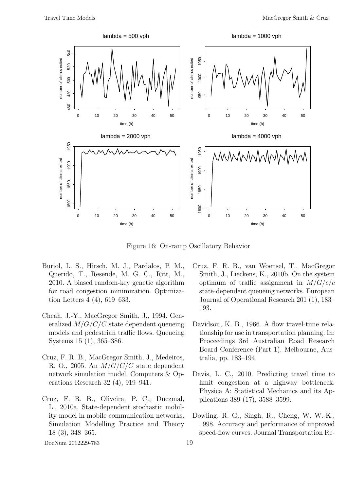

Figure 16: On-ramp Oscillatory Behavior

- Buriol, L. S., Hirsch, M. J., Pardalos, P. M., Querido, T., Resende, M. G. C., Ritt, M., 2010. A biased random-key genetic algorithm for road congestion minimization. Optimization Letters 4 (4), 619–633.
- Cheah, J.-Y., MacGregor Smith, J., 1994. Generalized  $M/G/C/C$  state dependent queueing models and pedestrian traffic flows. Queueing Systems 15 (1), 365–386.
- Cruz, F. R. B., MacGregor Smith, J., Medeiros, R. O., 2005. An  $M/G/C/C$  state dependent network simulation model. Computers & Operations Research 32 (4), 919–941.
- Cruz, F. R. B., Oliveira, P. C., Duczmal, L., 2010a. State-dependent stochastic mobility model in mobile communication networks. Simulation Modelling Practice and Theory 18 (3), 348–365.

Cruz, F. R. B., van Woensel, T., MacGregor Smith, J., Lieckens, K., 2010b. On the system optimum of traffic assignment in  $M/G/c/c$ state-dependent queueing networks. European Journal of Operational Research 201 (1), 183– 193.

- Davidson, K. B., 1966. A flow travel-time relationship for use in transportation planning. In: Proceedings 3rd Australian Road Research Board Conference (Part 1). Melbourne, Australia, pp. 183–194.
- Davis, L. C., 2010. Predicting travel time to limit congestion at a highway bottleneck. Physica A: Statistical Mechanics and its Applications 389 (17), 3588–3599.
- Dowling, R. G., Singh, R., Cheng, W. W.-K., 1998. Accuracy and performance of improved speed-flow curves. Journal Transportation Re-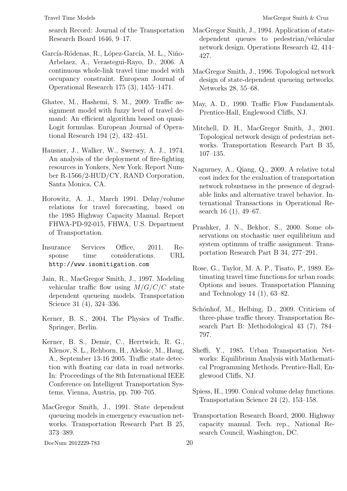search Record: Journal of the Transportation Research Board 1646, 9–17.

- García-Ródenas, R., López-García, M. L., Niño-Arbelaez, A., Verastegui-Rayo, D., 2006. A continuous whole-link travel time model with occupancy constraint. European Journal of Operational Research 175 (3), 1455–1471.
- Ghatee, M., Hashemi, S. M., 2009. Traffic assignment model with fuzzy level of travel demand: An efficient algorithm based on quasi-Logit formulas. European Journal of Operational Research 194 (2), 432–451.
- Hausner, J., Walker, W., Swersey, A. J., 1974. An analysis of the deployment of fire-fighting resources in Yonkers, New York. Report Number R-1566/2-HUD/CY, RAND Corporation, Santa Monica, CA.
- Horowitz, A. J., March 1991. Delay/volume relations for travel forecasting, based on the 1985 Highway Capacity Manual. Report FHWA-PD-92-015, FHWA, U.S. Department of Transportation.
- Insurance Services Office, 2011. Response time considerations. URL http://www.isomitigation.com
- Jain, R., MacGregor Smith, J., 1997. Modeling vehicular traffic flow using  $M/G/C/C$  state dependent queueing models. Transportation Science 31 (4), 324–336.
- Kerner, B. S., 2004. The Physics of Traffic. Springer, Berlin.
- Kerner, B. S., Demir, C., Herrtwich, R. G., Klenov, S. L., Rehborn, H., Aleksic, M., Haug, A., September 13-16 2005. Traffic state detection with floating car data in road networks. In: Proceedings of the 8th International IEEE Conference on Intelligent Transportation Systems. Vienna, Austria, pp. 700–705.
- MacGregor Smith, J., 1991. State dependent queueing models in emergency evacuation networks. Transportation Research Part B 25, 373–389.

- MacGregor Smith, J., 1994. Application of statedependent queues to pedestrian/vehicular network design. Operations Research 42, 414– 427.
- MacGregor Smith, J., 1996. Topological network design of state-dependent queueing networks. Networks 28, 55–68.
- May, A. D., 1990. Traffic Flow Fundamentals. Prentice-Hall, Englewood Cliffs, NJ.
- Mitchell, D. H., MacGregor Smith, J., 2001. Topological network design of pedestrian networks. Transportation Research Part B 35, 107–135.
- Nagurney, A., Qiang, Q., 2009. A relative total cost index for the evaluation of transportation network robustness in the presence of degradable links and alternative travel behavior. International Transactions in Operational Research 16 (1), 49–67.
- Prashker, J. N., Bekhor, S., 2000. Some observations on stochastic user equilibrium and system optimum of traffic assignment. Transportation Research Part B 34, 277–291.
- Rose, G., Taylor, M. A. P., Tisato, P., 1989. Estimating travel time functions for urban roads: Options and issues. Transportation Planning and Technology 14 (1), 63–82.
- Schónhof, M., Helbing, D., 2009. Criticism of three-phase traffic theory. Transportation Research Part B: Methodological 43 (7), 784– 797.
- Sheffi, Y., 1985. Urban Transportation Networks: Equilibrium Analysis with Mathematical Programming Methods. Prentice-Hall, Englewood Cliffs, NJ.
- Spiess, H., 1990. Conical volume delay functions. Transportation Science 24 (2), 153–158.
- Transportation Research Board, 2000. Highway capacity manual. Tech. rep., National Research Council, Washington, DC.